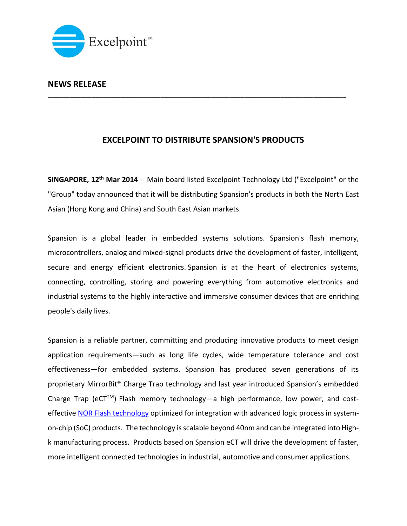

## **NEWS RELEASE**

## **EXCELPOINT TO DISTRIBUTE SPANSION'S PRODUCTS**

\_\_\_\_\_\_\_\_\_\_\_\_\_\_\_\_\_\_\_\_\_\_\_\_\_\_\_\_\_\_\_\_\_\_\_\_\_\_\_\_\_\_\_\_\_\_\_\_\_\_\_\_\_\_\_\_\_\_\_\_\_\_\_\_\_\_\_\_\_\_\_\_\_\_\_\_\_\_\_\_\_\_

**SINGAPORE, 12th Mar 2014** ‐ Main board listed Excelpoint Technology Ltd ("Excelpoint" or the "Group" today announced that it will be distributing Spansion's products in both the North East Asian (Hong Kong and China) and South East Asian markets.

Spansion is a global leader in embedded systems solutions. Spansion's flash memory, microcontrollers, analog and mixed‐signal products drive the development of faster, intelligent, secure and energy efficient electronics. Spansion is at the heart of electronics systems, connecting, controlling, storing and powering everything from automotive electronics and industrial systems to the highly interactive and immersive consumer devices that are enriching people's daily lives.

Spansion is a reliable partner, committing and producing innovative products to meet design application requirements—such as long life cycles, wide temperature tolerance and cost effectiveness—for embedded systems. Spansion has produced seven generations of its proprietary MirrorBit® Charge Trap technology and last year introduced Spansion's embedded Charge Trap (eCT<sup>TM</sup>) Flash memory technology—a high performance, low power, and costeffective NOR Flash technology optimized for integration with advanced logic process in system‐ on-chip (SoC) products. The technology is scalable beyond 40nm and can be integrated into Highk manufacturing process. Products based on Spansion eCT will drive the development of faster, more intelligent connected technologies in industrial, automotive and consumer applications.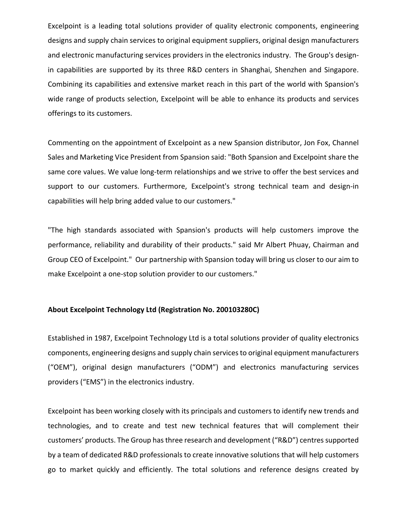Excelpoint is a leading total solutions provider of quality electronic components, engineering designs and supply chain services to original equipment suppliers, original design manufacturers and electronic manufacturing services providers in the electronics industry. The Group's designin capabilities are supported by its three R&D centers in Shanghai, Shenzhen and Singapore. Combining its capabilities and extensive market reach in this part of the world with Spansion's wide range of products selection, Excelpoint will be able to enhance its products and services offerings to its customers.

Commenting on the appointment of Excelpoint as a new Spansion distributor, Jon Fox, Channel Sales and Marketing Vice President from Spansion said: "Both Spansion and Excelpoint share the same core values. We value long-term relationships and we strive to offer the best services and support to our customers. Furthermore, Excelpoint's strong technical team and design-in capabilities will help bring added value to our customers."

"The high standards associated with Spansion's products will help customers improve the performance, reliability and durability of their products." said Mr Albert Phuay, Chairman and Group CEO of Excelpoint." Our partnership with Spansion today will bring us closer to our aim to make Excelpoint a one‐stop solution provider to our customers."

## **About Excelpoint Technology Ltd (Registration No. 200103280C)**

Established in 1987, Excelpoint Technology Ltd is a total solutions provider of quality electronics components, engineering designs and supply chain servicesto original equipment manufacturers ("OEM"), original design manufacturers ("ODM") and electronics manufacturing services providers ("EMS") in the electronics industry.

Excelpoint has been working closely with its principals and customers to identify new trends and technologies, and to create and test new technical features that will complement their customers' products. The Group has three research and development ("R&D") centres supported by a team of dedicated R&D professionals to create innovative solutions that will help customers go to market quickly and efficiently. The total solutions and reference designs created by